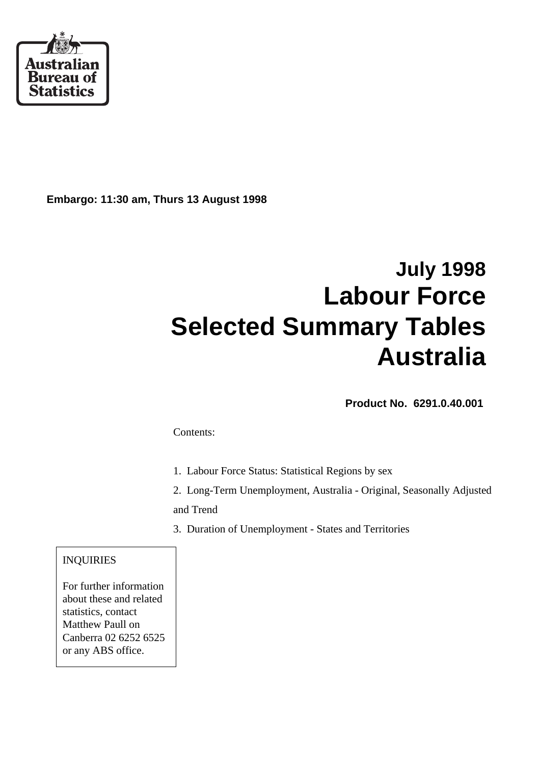

**Embargo: 11:30 am, Thurs 13 August 1998**

# **July 1998 Labour Force Selected Summary Tables Australia**

 **Product No. 6291.0.40.001**

Contents:

- 1. Labour Force Status: Statistical Regions by sex
- 2. Long-Term Unemployment, Australia Original, Seasonally Adjusted and Trend
- 3. Duration of Unemployment States and Territories

### INQUIRIES

For further information about these and related statistics, contact Matthew Paull on Canberra 02 6252 6525 or any ABS office.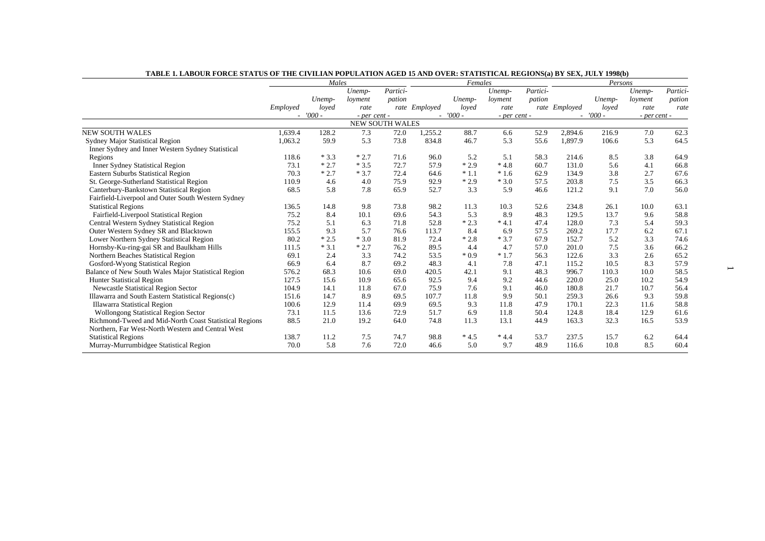|                                                        | Males    |           |              |                        | Females       |           |              |          | Persons                  |          |              |          |
|--------------------------------------------------------|----------|-----------|--------------|------------------------|---------------|-----------|--------------|----------|--------------------------|----------|--------------|----------|
|                                                        |          |           | Unemp-       | Partici-               |               |           | Unemp-       | Partici- |                          |          | Unemp-       | Partici- |
|                                                        |          | Unemp-    | loyment      | pation                 |               | Unemp-    | loyment      | pation   |                          | Unemp-   | loyment      | pation   |
|                                                        | Employed | loved     | rate         |                        | rate Employed | loved     | rate         |          | rate Employed            | loved    | rate         | rate     |
|                                                        |          | $-7000 -$ | - per cent - |                        |               | $-7000 -$ | - per cent - |          | $\overline{\phantom{a}}$ | $'000$ - | - per cent - |          |
|                                                        |          |           |              | <b>NEW SOUTH WALES</b> |               |           |              |          |                          |          |              |          |
| <b>NEW SOUTH WALES</b>                                 | 1,639.4  | 128.2     | 7.3          | 72.0                   | 1,255.2       | 88.7      | 6.6          | 52.9     | 2,894.6                  | 216.9    | 7.0          | 62.3     |
| Sydney Major Statistical Region                        | 1,063.2  | 59.9      | 5.3          | 73.8                   | 834.8         | 46.7      | 5.3          | 55.6     | 1,897.9                  | 106.6    | 5.3          | 64.5     |
| Inner Sydney and Inner Western Sydney Statistical      |          |           |              |                        |               |           |              |          |                          |          |              |          |
| Regions                                                | 118.6    | $*3.3$    | $*2.7$       | 71.6                   | 96.0          | 5.2       | 5.1          | 58.3     | 214.6                    | 8.5      | 3.8          | 64.9     |
| <b>Inner Sydney Statistical Region</b>                 | 73.1     | $*2.7$    | $*3.5$       | 72.7                   | 57.9          | $*2.9$    | $*4.8$       | 60.7     | 131.0                    | 5.6      | 4.1          | 66.8     |
| <b>Eastern Suburbs Statistical Region</b>              | 70.3     | $*2.7$    | $*3.7$       | 72.4                   | 64.6          | $*1.1$    | $*1.6$       | 62.9     | 134.9                    | 3.8      | 2.7          | 67.6     |
| St. George-Sutherland Statistical Region               | 110.9    | 4.6       | 4.0          | 75.9                   | 92.9          | $*2.9$    | $*3.0$       | 57.5     | 203.8                    | 7.5      | 3.5          | 66.3     |
| Canterbury-Bankstown Statistical Region                | 68.5     | 5.8       | 7.8          | 65.9                   | 52.7          | 3.3       | 5.9          | 46.6     | 121.2                    | 9.1      | 7.0          | 56.0     |
| Fairfield-Liverpool and Outer South Western Sydney     |          |           |              |                        |               |           |              |          |                          |          |              |          |
| <b>Statistical Regions</b>                             | 136.5    | 14.8      | 9.8          | 73.8                   | 98.2          | 11.3      | 10.3         | 52.6     | 234.8                    | 26.1     | 10.0         | 63.1     |
| Fairfield-Liverpool Statistical Region                 | 75.2     | 8.4       | 10.1         | 69.6                   | 54.3          | 5.3       | 8.9          | 48.3     | 129.5                    | 13.7     | 9.6          | 58.8     |
| Central Western Sydney Statistical Region              | 75.2     | 5.1       | 6.3          | 71.8                   | 52.8          | $*2.3$    | $*4.1$       | 47.4     | 128.0                    | 7.3      | 5.4          | 59.3     |
| Outer Western Sydney SR and Blacktown                  | 155.5    | 9.3       | 5.7          | 76.6                   | 113.7         | 8.4       | 6.9          | 57.5     | 269.2                    | 17.7     | 6.2          | 67.1     |
| Lower Northern Sydney Statistical Region               | 80.2     | $*2.5$    | $*3.0$       | 81.9                   | 72.4          | $*2.8$    | $*3.7$       | 67.9     | 152.7                    | 5.2      | 3.3          | 74.6     |
| Hornsby-Ku-ring-gai SR and Baulkham Hills              | 111.5    | $*3.1$    | $*2.7$       | 76.2                   | 89.5          | 4.4       | 4.7          | 57.0     | 201.0                    | 7.5      | 3.6          | 66.2     |
| Northern Beaches Statistical Region                    | 69.1     | 2.4       | 3.3          | 74.2                   | 53.5          | $*0.9$    | $*1.7$       | 56.3     | 122.6                    | 3.3      | 2.6          | 65.2     |
| Gosford-Wyong Statistical Region                       | 66.9     | 6.4       | 8.7          | 69.2                   | 48.3          | 4.1       | 7.8          | 47.1     | 115.2                    | 10.5     | 8.3          | 57.9     |
| Balance of New South Wales Major Statistical Region    | 576.2    | 68.3      | 10.6         | 69.0                   | 420.5         | 42.1      | 9.1          | 48.3     | 996.7                    | 110.3    | 10.0         | 58.5     |
| <b>Hunter Statistical Region</b>                       | 127.5    | 15.6      | 10.9         | 65.6                   | 92.5          | 9.4       | 9.2          | 44.6     | 220.0                    | 25.0     | 10.2         | 54.9     |
| <b>Newcastle Statistical Region Sector</b>             | 104.9    | 14.1      | 11.8         | 67.0                   | 75.9          | 7.6       | 9.1          | 46.0     | 180.8                    | 21.7     | 10.7         | 56.4     |
| Illawarra and South Eastern Statistical Regions(c)     | 151.6    | 14.7      | 8.9          | 69.5                   | 107.7         | 11.8      | 9.9          | 50.1     | 259.3                    | 26.6     | 9.3          | 59.8     |
| Illawarra Statistical Region                           | 100.6    | 12.9      | 11.4         | 69.9                   | 69.5          | 9.3       | 11.8         | 47.9     | 170.1                    | 22.3     | 11.6         | 58.8     |
| <b>Wollongong Statistical Region Sector</b>            | 73.1     | 11.5      | 13.6         | 72.9                   | 51.7          | 6.9       | 11.8         | 50.4     | 124.8                    | 18.4     | 12.9         | 61.6     |
| Richmond-Tweed and Mid-North Coast Statistical Regions | 88.5     | 21.0      | 19.2         | 64.0                   | 74.8          | 11.3      | 13.1         | 44.9     | 163.3                    | 32.3     | 16.5         | 53.9     |
| Northern, Far West-North Western and Central West      |          |           |              |                        |               |           |              |          |                          |          |              |          |
| <b>Statistical Regions</b>                             | 138.7    | 11.2      | 7.5          | 74.7                   | 98.8          | $*4.5$    | $*4.4$       | 53.7     | 237.5                    | 15.7     | 6.2          | 64.4     |
| Murray-Murrumbidgee Statistical Region                 | 70.0     | 5.8       | 7.6          | 72.0                   | 46.6          | 5.0       | 9.7          | 48.9     | 116.6                    | 10.8     | 8.5          | 60.4     |

**TABLE 1. LABOUR FORCE STATUS OF THE CIVILIAN POPULATION AGED 15 AND OVER: STATISTICAL REGIONS(a) BY SEX, JULY 1998(b)**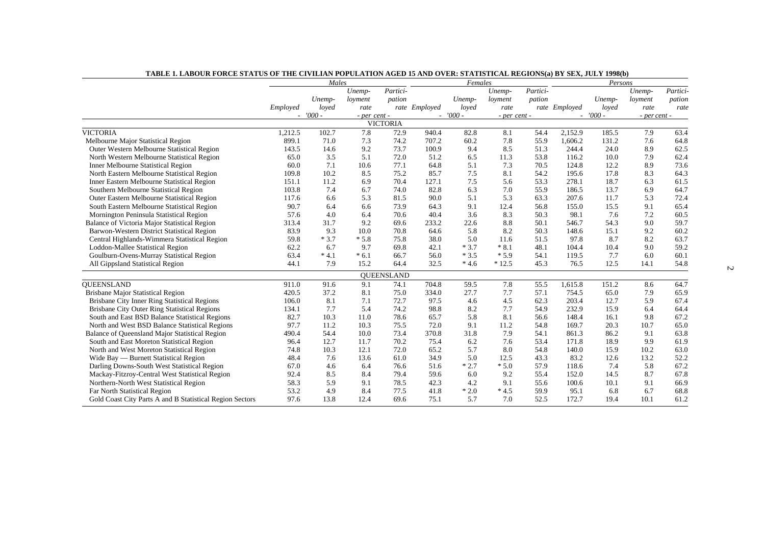|                                                          | Males    |           |              | Females         |               |           |              | Persons  |               |            |              |          |
|----------------------------------------------------------|----------|-----------|--------------|-----------------|---------------|-----------|--------------|----------|---------------|------------|--------------|----------|
|                                                          |          |           | Unemp-       | Partici-        |               |           | Unemp-       | Partici- |               |            | Unemp-       | Partici- |
|                                                          |          | Unemp-    | loyment      | pation          |               | Unemp-    | loyment      | pation   |               | Unemp-     | loyment      | pation   |
|                                                          | Employed | loyed     | rate         |                 | rate Employed | loyed     | rate         |          | rate Employed | loyed      | rate         | rate     |
|                                                          |          | $-7000 -$ | - per cent - |                 |               | $-7000 -$ | - per cent - |          |               | $- '000 -$ | - per cent - |          |
|                                                          |          |           |              | <b>VICTORIA</b> |               |           |              |          |               |            |              |          |
| <b>VICTORIA</b>                                          | 1,212.5  | 102.7     | 7.8          | 72.9            | 940.4         | 82.8      | 8.1          | 54.4     | 2,152.9       | 185.5      | 7.9          | 63.4     |
| Melbourne Major Statistical Region                       | 899.1    | 71.0      | 7.3          | 74.2            | 707.2         | 60.2      | 7.8          | 55.9     | 1,606.2       | 131.2      | 7.6          | 64.8     |
| Outer Western Melbourne Statistical Region               | 143.5    | 14.6      | 9.2          | 73.7            | 100.9         | 9.4       | 8.5          | 51.3     | 244.4         | 24.0       | 8.9          | 62.5     |
| North Western Melbourne Statistical Region               | 65.0     | 3.5       | 5.1          | 72.0            | 51.2          | 6.5       | 11.3         | 53.8     | 116.2         | 10.0       | 7.9          | 62.4     |
| <b>Inner Melbourne Statistical Region</b>                | 60.0     | 7.1       | 10.6         | 77.1            | 64.8          | 5.1       | 7.3          | 70.5     | 124.8         | 12.2       | 8.9          | 73.6     |
| North Eastern Melbourne Statistical Region               | 109.8    | 10.2      | 8.5          | 75.2            | 85.7          | 7.5       | 8.1          | 54.2     | 195.6         | 17.8       | 8.3          | 64.3     |
| Inner Eastern Melbourne Statistical Region               | 151.1    | 11.2      | 6.9          | 70.4            | 127.1         | 7.5       | 5.6          | 53.3     | 278.1         | 18.7       | 6.3          | 61.5     |
| Southern Melbourne Statistical Region                    | 103.8    | 7.4       | 6.7          | 74.0            | 82.8          | 6.3       | 7.0          | 55.9     | 186.5         | 13.7       | 6.9          | 64.7     |
| Outer Eastern Melbourne Statistical Region               | 117.6    | 6.6       | 5.3          | 81.5            | 90.0          | 5.1       | 5.3          | 63.3     | 207.6         | 11.7       | 5.3          | 72.4     |
| South Eastern Melbourne Statistical Region               | 90.7     | 6.4       | 6.6          | 73.9            | 64.3          | 9.1       | 12.4         | 56.8     | 155.0         | 15.5       | 9.1          | 65.4     |
| Mornington Peninsula Statistical Region                  | 57.6     | 4.0       | 6.4          | 70.6            | 40.4          | 3.6       | 8.3          | 50.3     | 98.1          | 7.6        | 7.2          | 60.5     |
| Balance of Victoria Major Statistical Region             | 313.4    | 31.7      | 9.2          | 69.6            | 233.2         | 22.6      | 8.8          | 50.1     | 546.7         | 54.3       | 9.0          | 59.7     |
| Barwon-Western District Statistical Region               | 83.9     | 9.3       | 10.0         | 70.8            | 64.6          | 5.8       | 8.2          | 50.3     | 148.6         | 15.1       | 9.2          | 60.2     |
| Central Highlands-Wimmera Statistical Region             | 59.8     | $*3.7$    | $*5.8$       | 75.8            | 38.0          | 5.0       | 11.6         | 51.5     | 97.8          | 8.7        | 8.2          | 63.7     |
| Loddon-Mallee Statistical Region                         | 62.2     | 6.7       | 9.7          | 69.8            | 42.1          | $*3.7$    | $*8.1$       | 48.1     | 104.4         | 10.4       | 9.0          | 59.2     |
| Goulburn-Ovens-Murray Statistical Region                 | 63.4     | $*4.1$    | $*6.1$       | 66.7            | 56.0          | $*3.5$    | $*5.9$       | 54.1     | 119.5         | 7.7        | 6.0          | 60.1     |
| All Gippsland Statistical Region                         | 44.1     | 7.9       | 15.2         | 64.4            | 32.5          | $*4.6$    | $*12.5$      | 45.3     | 76.5          | 12.5       | 14.1         | 54.8     |
|                                                          |          |           |              | QUEENSLAND      |               |           |              |          |               |            |              |          |
| <b>OUEENSLAND</b>                                        | 911.0    | 91.6      | 9.1          | 74.1            | 704.8         | 59.5      | 7.8          | 55.5     | 1,615.8       | 151.2      | 8.6          | 64.7     |
| <b>Brisbane Major Statistical Region</b>                 | 420.5    | 37.2      | 8.1          | 75.0            | 334.0         | 27.7      | 7.7          | 57.1     | 754.5         | 65.0       | 7.9          | 65.9     |
| <b>Brisbane City Inner Ring Statistical Regions</b>      | 106.0    | 8.1       | 7.1          | 72.7            | 97.5          | 4.6       | 4.5          | 62.3     | 203.4         | 12.7       | 5.9          | 67.4     |
| <b>Brisbane City Outer Ring Statistical Regions</b>      | 134.1    | 7.7       | 5.4          | 74.2            | 98.8          | 8.2       | 7.7          | 54.9     | 232.9         | 15.9       | 6.4          | 64.4     |
| South and East BSD Balance Statistical Regions           | 82.7     | 10.3      | 11.0         | 78.6            | 65.7          | 5.8       | 8.1          | 56.6     | 148.4         | 16.1       | 9.8          | 67.2     |
| North and West BSD Balance Statistical Regions           | 97.7     | 11.2      | 10.3         | 75.5            | 72.0          | 9.1       | 11.2         | 54.8     | 169.7         | 20.3       | 10.7         | 65.0     |
| Balance of Queensland Major Statistical Region           | 490.4    | 54.4      | 10.0         | 73.4            | 370.8         | 31.8      | 7.9          | 54.1     | 861.3         | 86.2       | 9.1          | 63.8     |
| South and East Moreton Statistical Region                | 96.4     | 12.7      | 11.7         | 70.2            | 75.4          | 6.2       | 7.6          | 53.4     | 171.8         | 18.9       | 9.9          | 61.9     |
| North and West Moreton Statistical Region                | 74.8     | 10.3      | 12.1         | 72.0            | 65.2          | 5.7       | 8.0          | 54.8     | 140.0         | 15.9       | 10.2         | 63.0     |
| Wide Bay — Burnett Statistical Region                    | 48.4     | 7.6       | 13.6         | 61.0            | 34.9          | 5.0       | 12.5         | 43.3     | 83.2          | 12.6       | 13.2         | 52.2     |
| Darling Downs-South West Statistical Region              | 67.0     | 4.6       | 6.4          | 76.6            | 51.6          | $*2.7$    | $*5.0$       | 57.9     | 118.6         | 7.4        | 5.8          | 67.2     |
| Mackay-Fitzroy-Central West Statistical Region           | 92.4     | 8.5       | 8.4          | 79.4            | 59.6          | 6.0       | 9.2          | 55.4     | 152.0         | 14.5       | 8.7          | 67.8     |
| Northern-North West Statistical Region                   | 58.3     | 5.9       | 9.1          | 78.5            | 42.3          | 4.2       | 9.1          | 55.6     | 100.6         | 10.1       | 9.1          | 66.9     |
| Far North Statistical Region                             | 53.2     | 4.9       | 8.4          | 77.5            | 41.8          | $*2.0$    | $*4.5$       | 59.9     | 95.1          | 6.8        | 6.7          | 68.8     |
| Gold Coast City Parts A and B Statistical Region Sectors | 97.6     | 13.8      | 12.4         | 69.6            | 75.1          | 5.7       | 7.0          | 52.5     | 172.7         | 19.4       | 10.1         | 61.2     |

|  | TABLE 1. LABOUR FORCE STATUS OF THE CIVILIAN POPULATION AGED 15 AND OVER: STATISTICAL REGIONS(a) BY SEX, JULY 1998(b) |
|--|-----------------------------------------------------------------------------------------------------------------------|
|  |                                                                                                                       |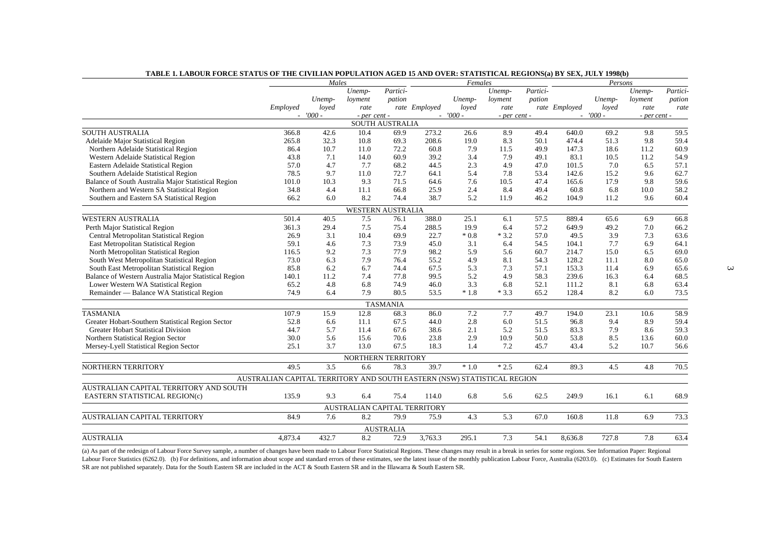|                                                       | Males                                                                   |           |                              | Females                |               |           |                  | Persons  |               |           |              |          |
|-------------------------------------------------------|-------------------------------------------------------------------------|-----------|------------------------------|------------------------|---------------|-----------|------------------|----------|---------------|-----------|--------------|----------|
|                                                       |                                                                         |           | Unemp-                       | Partici-               |               |           | Unemp-           | Partici- |               |           | Unemp-       | Partici- |
|                                                       |                                                                         | Unemp-    | loyment                      | pation                 |               | Unemp-    | loyment          | pation   |               | Unemp-    | loyment      | pation   |
|                                                       | Employed                                                                | loved     | rate                         |                        | rate Employed | loved     | rate             |          | rate Employed | loved     | rate         | rate     |
|                                                       |                                                                         | $-7000 -$ | - per cent -                 |                        |               | $-7000 -$ | $-$ per cent $-$ |          |               | $-7000 -$ | - per cent - |          |
|                                                       |                                                                         |           |                              | <b>SOUTH AUSTRALIA</b> |               |           |                  |          |               |           |              |          |
| <b>SOUTH AUSTRALIA</b>                                | 366.8                                                                   | 42.6      | 10.4                         | 69.9                   | 273.2         | 26.6      | 8.9              | 49.4     | 640.0         | 69.2      | 9.8          | 59.5     |
| <b>Adelaide Major Statistical Region</b>              | 265.8                                                                   | 32.3      | 10.8                         | 69.3                   | 208.6         | 19.0      | 8.3              | 50.1     | 474.4         | 51.3      | 9.8          | 59.4     |
| Northern Adelaide Statistical Region                  | 86.4                                                                    | 10.7      | 11.0                         | 72.2                   | 60.8          | 7.9       | 11.5             | 49.9     | 147.3         | 18.6      | 11.2         | 60.9     |
| Western Adelaide Statistical Region                   | 43.8                                                                    | 7.1       | 14.0                         | 60.9                   | 39.2          | 3.4       | 7.9              | 49.1     | 83.1          | 10.5      | 11.2         | 54.9     |
| Eastern Adelaide Statistical Region                   | 57.0                                                                    | 4.7       | 7.7                          | 68.2                   | 44.5          | 2.3       | 4.9              | 47.0     | 101.5         | 7.0       | 6.5          | 57.1     |
| Southern Adelaide Statistical Region                  | 78.5                                                                    | 9.7       | 11.0                         | 72.7                   | 64.1          | 5.4       | 7.8              | 53.4     | 142.6         | 15.2      | 9.6          | 62.7     |
| Balance of South Australia Major Statistical Region   | 101.0                                                                   | 10.3      | 9.3                          | 71.5                   | 64.6          | 7.6       | 10.5             | 47.4     | 165.6         | 17.9      | 9.8          | 59.6     |
| Northern and Western SA Statistical Region            | 34.8                                                                    | 4.4       | 11.1                         | 66.8                   | 25.9          | 2.4       | 8.4              | 49.4     | 60.8          | 6.8       | 10.0         | 58.2     |
| Southern and Eastern SA Statistical Region            | 66.2                                                                    | 6.0       | 8.2                          | 74.4                   | 38.7          | 5.2       | 11.9             | 46.2     | 104.9         | 11.2      | 9.6          | 60.4     |
|                                                       |                                                                         |           | <b>WESTERN AUSTRALIA</b>     |                        |               |           |                  |          |               |           |              |          |
| <b>WESTERN AUSTRALIA</b>                              | 501.4                                                                   | 40.5      | 7.5                          | 76.1                   | 388.0         | 25.1      | 6.1              | 57.5     | 889.4         | 65.6      | 6.9          | 66.8     |
| Perth Major Statistical Region                        | 361.3                                                                   | 29.4      | 7.5                          | 75.4                   | 288.5         | 19.9      | 6.4              | 57.2     | 649.9         | 49.2      | 7.0          | 66.2     |
| Central Metropolitan Statistical Region               | 26.9                                                                    | 3.1       | 10.4                         | 69.9                   | 22.7          | $*0.8$    | $*3.2$           | 57.0     | 49.5          | 3.9       | 7.3          | 63.6     |
| East Metropolitan Statistical Region                  | 59.1                                                                    | 4.6       | 7.3                          | 73.9                   | 45.0          | 3.1       | 6.4              | 54.5     | 104.1         | 7.7       | 6.9          | 64.1     |
| North Metropolitan Statistical Region                 | 116.5                                                                   | 9.2       | 7.3                          | 77.9                   | 98.2          | 5.9       | 5.6              | 60.7     | 214.7         | 15.0      | 6.5          | 69.0     |
| South West Metropolitan Statistical Region            | 73.0                                                                    | 6.3       | 7.9                          | 76.4                   | 55.2          | 4.9       | 8.1              | 54.3     | 128.2         | 11.1      | 8.0          | 65.0     |
| South East Metropolitan Statistical Region            | 85.8                                                                    | 6.2       | 6.7                          | 74.4                   | 67.5          | 5.3       | 7.3              | 57.1     | 153.3         | 11.4      | 6.9          | 65.6     |
| Balance of Western Australia Major Statistical Region | 140.1                                                                   | 11.2      | 7.4                          | 77.8                   | 99.5          | 5.2       | 4.9              | 58.3     | 239.6         | 16.3      | 6.4          | 68.5     |
| Lower Western WA Statistical Region                   | 65.2                                                                    | 4.8       | 6.8                          | 74.9                   | 46.0          | 3.3       | 6.8              | 52.1     | 111.2         | 8.1       | 6.8          | 63.4     |
| Remainder — Balance WA Statistical Region             | 74.9                                                                    | 6.4       | 7.9                          | 80.5                   | 53.5          | $*1.8$    | $*3.3$           | 65.2     | 128.4         | 8.2       | 6.0          | 73.5     |
|                                                       |                                                                         |           |                              | <b>TASMANIA</b>        |               |           |                  |          |               |           |              |          |
| <b>TASMANIA</b>                                       | 107.9                                                                   | 15.9      | 12.8                         | 68.3                   | 86.0          | 7.2       | 7.7              | 49.7     | 194.0         | 23.1      | 10.6         | 58.9     |
| Greater Hobart-Southern Statistical Region Sector     | 52.8                                                                    | 6.6       | 11.1                         | 67.5                   | 44.0          | 2.8       | 6.0              | 51.5     | 96.8          | 9.4       | 8.9          | 59.4     |
| <b>Greater Hobart Statistical Division</b>            | 44.7                                                                    | 5.7       | 11.4                         | 67.6                   | 38.6          | 2.1       | 5.2              | 51.5     | 83.3          | 7.9       | 8.6          | 59.3     |
| Northern Statistical Region Sector                    | 30.0                                                                    | 5.6       | 15.6                         | 70.6                   | 23.8          | 2.9       | 10.9             | 50.0     | 53.8          | 8.5       | 13.6         | 60.0     |
| Mersey-Lyell Statistical Region Sector                | 25.1                                                                    | 3.7       | 13.0                         | 67.5                   | 18.3          | 1.4       | 7.2              | 45.7     | 43.4          | 5.2       | 10.7         | 56.6     |
|                                                       |                                                                         |           | NORTHERN TERRITORY           |                        |               |           |                  |          |               |           |              |          |
| NORTHERN TERRITORY                                    | 49.5                                                                    | 3.5       | 6.6                          | 78.3                   | 39.7          | $*1.0$    | $*2.5$           | 62.4     | 89.3          | 4.5       | 4.8          | 70.5     |
|                                                       | AUSTRALIAN CAPITAL TERRITORY AND SOUTH EASTERN (NSW) STATISTICAL REGION |           |                              |                        |               |           |                  |          |               |           |              |          |
| AUSTRALIAN CAPITAL TERRITORY AND SOUTH                |                                                                         |           |                              |                        |               |           |                  |          |               |           |              |          |
| EASTERN STATISTICAL REGION(c)                         | 135.9                                                                   | 9.3       | 6.4                          | 75.4                   | 114.0         | 6.8       | 5.6              | 62.5     | 249.9         | 16.1      | 6.1          | 68.9     |
|                                                       |                                                                         |           | AUSTRALIAN CAPITAL TERRITORY |                        |               |           |                  |          |               |           |              |          |
| AUSTRALIAN CAPITAL TERRITORY                          | 84.9                                                                    | 7.6       | 8.2                          | 79.9                   | 75.9          | 4.3       | 5.3              | 67.0     | 160.8         | 11.8      | 6.9          | 73.3     |
|                                                       |                                                                         |           |                              |                        |               |           |                  |          |               |           |              |          |
|                                                       |                                                                         |           |                              | <b>AUSTRALIA</b>       |               |           |                  |          |               |           |              |          |
| <b>AUSTRALIA</b>                                      | 4,873.4                                                                 | 432.7     | 8.2                          | 72.9                   | 3,763.3       | 295.1     | 7.3              | 54.1     | 8,636.8       | 727.8     | 7.8          | 63.4     |

### **TABLE 1. LABOUR FORCE STATUS OF THE CIVILIAN POPULATION AGED 15 AND OVER: STATISTICAL REGIONS(a) BY SEX, JULY 1998(b)**

(a) As part of the redesign of Labour Force Survey sample, a number of changes have been made to Labour Force Statistical Regions. These changes may result in a break in series for some regions. See Information Paper: Regi Labour Force Statistics (6262.0). (b) For definitions, and information about scope and standard errors of these estimates, see the latest issue of the monthly publication Labour Force, Australia (6203.0). (c) Estimates for SR are not published separately. Data for the South Eastern SR are included in the ACT & South Eastern SR and in the Illawarra & South Eastern SR.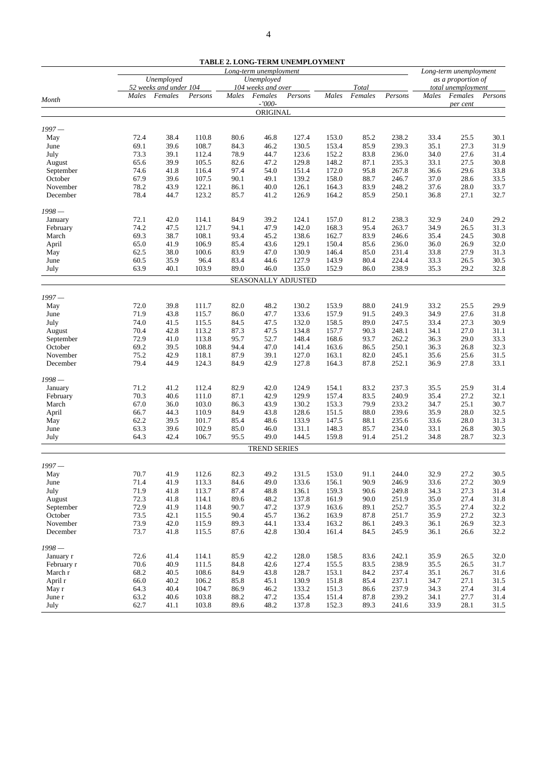|                     |                                                    |              |                |              |                               | TABLE 2. LONG-TERM UNEMPLOYMENT |                |                  |                |                    |                               |              |
|---------------------|----------------------------------------------------|--------------|----------------|--------------|-------------------------------|---------------------------------|----------------|------------------|----------------|--------------------|-------------------------------|--------------|
|                     |                                                    |              |                |              | Long-term unemployment        |                                 |                |                  |                |                    | Long-term unemployment        |              |
|                     | Unemployed<br>Unemployed<br>52 weeks and under 104 |              |                |              |                               |                                 |                |                  |                | as a proportion of |                               |              |
|                     | Males                                              | Females      | Persons        | Males        | 104 weeks and over<br>Females | Persons                         | Males          | Total<br>Females | Persons        | Males              | total unemployment<br>Females | Persons      |
| Month               |                                                    |              |                |              | $-7000-$                      |                                 |                |                  |                |                    | per cent                      |              |
|                     |                                                    |              |                |              | ORIGINAL                      |                                 |                |                  |                |                    |                               |              |
| $1997 -$            |                                                    |              |                |              |                               |                                 |                |                  |                |                    |                               |              |
| May                 | 72.4                                               | 38.4         | 110.8          | 80.6         | 46.8                          | 127.4                           | 153.0          | 85.2             | 238.2          | 33.4               | 25.5                          | 30.1         |
| June                | 69.1                                               | 39.6         | 108.7          | 84.3         | 46.2                          | 130.5                           | 153.4          | 85.9             | 239.3          | 35.1               | 27.3                          | 31.9         |
| July                | 73.3                                               | 39.1         | 112.4          | 78.9         | 44.7                          | 123.6                           | 152.2          | 83.8             | 236.0          | 34.0               | 27.6                          | 31.4         |
| August              | 65.6                                               | 39.9         | 105.5          | 82.6         | 47.2                          | 129.8                           | 148.2          | 87.1             | 235.3          | 33.1               | 27.5                          | 30.8         |
| September           | 74.6                                               | 41.8         | 116.4          | 97.4         | 54.0                          | 151.4                           | 172.0          | 95.8             | 267.8          | 36.6               | 29.6                          | 33.8         |
| October             | 67.9                                               | 39.6         | 107.5          | 90.1         | 49.1                          | 139.2                           | 158.0          | 88.7             | 246.7          | 37.0               | 28.6                          | 33.5         |
| November            | 78.2                                               | 43.9         | 122.1          | 86.1         | 40.0                          | 126.1                           | 164.3          | 83.9             | 248.2          | 37.6               | 28.0                          | 33.7         |
| December            | 78.4                                               | 44.7         | 123.2          | 85.7         | 41.2                          | 126.9                           | 164.2          | 85.9             | 250.1          | 36.8               | 27.1                          | 32.7         |
| $1998-$             |                                                    |              |                |              |                               |                                 |                |                  |                |                    |                               |              |
| January             | 72.1                                               | 42.0         | 114.1          | 84.9         | 39.2                          | 124.1                           | 157.0          | 81.2             | 238.3          | 32.9               | 24.0                          | 29.2         |
| February            | 74.2                                               | 47.5         | 121.7          | 94.1         | 47.9                          | 142.0                           | 168.3          | 95.4             | 263.7          | 34.9               | 26.5                          | 31.3         |
| March               | 69.3                                               | 38.7         | 108.1          | 93.4         | 45.2                          | 138.6                           | 162.7          | 83.9             | 246.6          | 35.4               | 24.5                          | 30.8         |
| April               | 65.0                                               | 41.9         | 106.9          | 85.4         | 43.6                          | 129.1                           | 150.4          | 85.6             | 236.0          | 36.0               | 26.9                          | 32.0         |
| May                 | 62.5                                               | 38.0         | 100.6          | 83.9         | 47.0                          | 130.9                           | 146.4          | 85.0             | 231.4          | 33.8               | 27.9                          | 31.3         |
| June                | 60.5                                               | 35.9         | 96.4           | 83.4         | 44.6                          | 127.9                           | 143.9          | 80.4             | 224.4          | 33.3               | 26.5                          | 30.5         |
| July                | 63.9                                               | 40.1         | 103.9          | 89.0         | 46.0                          | 135.0                           | 152.9          | 86.0             | 238.9          | 35.3               | 29.2                          | 32.8         |
|                     |                                                    |              |                |              |                               | SEASONALLY ADJUSTED             |                |                  |                |                    |                               |              |
|                     |                                                    |              |                |              |                               |                                 |                |                  |                |                    |                               |              |
| $1997 -$            |                                                    |              |                |              |                               |                                 |                |                  |                |                    |                               |              |
| May                 | 72.0                                               | 39.8         | 111.7          | 82.0         | 48.2                          | 130.2                           | 153.9          | 88.0             | 241.9          | 33.2               | 25.5                          | 29.9         |
| June                | 71.9                                               | 43.8         | 115.7          | 86.0         | 47.7                          | 133.6                           | 157.9          | 91.5             | 249.3          | 34.9               | 27.6                          | 31.8         |
| July                | 74.0<br>70.4                                       | 41.5         | 115.5          | 84.5         | 47.5<br>47.5                  | 132.0                           | 158.5<br>157.7 | 89.0             | 247.5          | 33.4<br>34.1       | 27.3                          | 30.9<br>31.1 |
| August<br>September | 72.9                                               | 42.8<br>41.0 | 113.2<br>113.8 | 87.3<br>95.7 | 52.7                          | 134.8<br>148.4                  | 168.6          | 90.3<br>93.7     | 248.1<br>262.2 | 36.3               | 27.0<br>29.0                  | 33.3         |
| October             | 69.2                                               | 39.5         | 108.8          | 94.4         | 47.0                          | 141.4                           | 163.6          | 86.5             | 250.1          | 36.3               | 26.8                          | 32.3         |
| November            | 75.2                                               | 42.9         | 118.1          | 87.9         | 39.1                          | 127.0                           | 163.1          | 82.0             | 245.1          | 35.6               | 25.6                          | 31.5         |
| December            | 79.4                                               | 44.9         | 124.3          | 84.9         | 42.9                          | 127.8                           | 164.3          | 87.8             | 252.1          | 36.9               | 27.8                          | 33.1         |
|                     |                                                    |              |                |              |                               |                                 |                |                  |                |                    |                               |              |
| $1998 -$            |                                                    |              |                |              |                               |                                 |                |                  |                |                    |                               |              |
| January             | 71.2                                               | 41.2         | 112.4          | 82.9         | 42.0                          | 124.9                           | 154.1          | 83.2             | 237.3          | 35.5               | 25.9                          | 31.4         |
| February            | 70.3                                               | 40.6         | 111.0          | 87.1         | 42.9                          | 129.9                           | 157.4          | 83.5             | 240.9          | 35.4               | 27.2                          | 32.1         |
| March               | 67.0                                               | 36.0         | 103.0          | 86.3         | 43.9                          | 130.2                           | 153.3          | 79.9             | 233.2          | 34.7               | 25.1                          | 30.7         |
| April               | 66.7                                               | 44.3<br>39.5 | 110.9          | 84.9         | 43.8<br>48.6                  | 128.6<br>133.9                  | 151.5<br>147.5 | 88.0             | 239.6<br>235.6 | 35.9<br>33.6       | 28.0                          | 32.5<br>31.3 |
| May                 | 62.2                                               |              | 101.7<br>102.9 | 85.4         | 46.0                          | 131.1                           | 148.3          | 88.1             |                | 33.1               | 28.0                          |              |
| June<br>July        | 63.3<br>64.3                                       | 39.6<br>42.4 | 106.7          | 85.0<br>95.5 | 49.0                          | 144.5                           | 159.8          | 85.7<br>91.4     | 234.0<br>251.2 | 34.8               | 26.8<br>28.7                  | 30.5<br>32.3 |
|                     |                                                    |              |                |              | <b>TREND SERIES</b>           |                                 |                |                  |                |                    |                               |              |
|                     |                                                    |              |                |              |                               |                                 |                |                  |                |                    |                               |              |
| $1997 -$            |                                                    |              |                |              |                               |                                 |                |                  |                |                    |                               |              |
| May                 | 70.7                                               | 41.9         | 112.6          | 82.3         | 49.2                          | 131.5                           | 153.0          | 91.1             | 244.0          | 32.9               | 27.2                          | 30.5         |
| June                | 71.4                                               | 41.9         | 113.3          | 84.6         | 49.0                          | 133.6                           | 156.1          | 90.9             | 246.9          | 33.6               | 27.2                          | 30.9         |
| July                | 71.9                                               | 41.8         | 113.7          | 87.4         | 48.8                          | 136.1                           | 159.3          | 90.6             | 249.8          | 34.3               | 27.3                          | 31.4         |
| August              | 72.3                                               | 41.8         | 114.1          | 89.6         | 48.2                          | 137.8                           | 161.9          | 90.0             | 251.9          | 35.0               | 27.4                          | 31.8         |
| September           | 72.9                                               | 41.9         | 114.8          | 90.7         | 47.2                          | 137.9                           | 163.6          | 89.1             | 252.7          | 35.5               | 27.4                          | 32.2         |
| October             | 73.5                                               | 42.1         | 115.5          | 90.4         | 45.7                          | 136.2                           | 163.9          | 87.8             | 251.7          | 35.9               | 27.2                          | 32.3         |
| November            | 73.9                                               | 42.0         | 115.9          | 89.3         | 44.1                          | 133.4                           | 163.2          | 86.1             | 249.3          | 36.1               | 26.9                          | 32.3         |
| December            | 73.7                                               | 41.8         | 115.5          | 87.6         | 42.8                          | 130.4                           | 161.4          | 84.5             | 245.9          | 36.1               | 26.6                          | 32.2         |
| $1998 -$            |                                                    |              |                |              |                               |                                 |                |                  |                |                    |                               |              |
| January r           | 72.6                                               | 41.4         | 114.1          | 85.9         | 42.2                          | 128.0                           | 158.5          | 83.6             | 242.1          | 35.9               | 26.5                          | 32.0         |
| February r          | 70.6                                               | 40.9         | 111.5          | 84.8         | 42.6                          | 127.4                           | 155.5          | 83.5             | 238.9          | 35.5               | 26.5                          | 31.7         |
| March r             | 68.2                                               | 40.5         | 108.6          | 84.9         | 43.8                          | 128.7                           | 153.1          | 84.2             | 237.4          | 35.1               | 26.7                          | 31.6         |
| April r             | 66.0                                               | 40.2         | 106.2          | 85.8         | 45.1                          | 130.9                           | 151.8          | 85.4             | 237.1          | 34.7               | 27.1                          | 31.5         |
| May r               | 64.3                                               | 40.4         | 104.7          | 86.9         | 46.2                          | 133.2                           | 151.3          | 86.6             | 237.9          | 34.3               | 27.4                          | 31.4         |
| June r              | 63.2                                               | 40.6         | 103.8          | 88.2         | 47.2                          | 135.4                           | 151.4          | 87.8             | 239.2          | 34.1               | 27.7                          | 31.4         |
| July                | 62.7                                               | 41.1         | 103.8          | 89.6         | 48.2                          | 137.8                           | 152.3          | 89.3             | 241.6          | 33.9               | 28.1                          | 31.5         |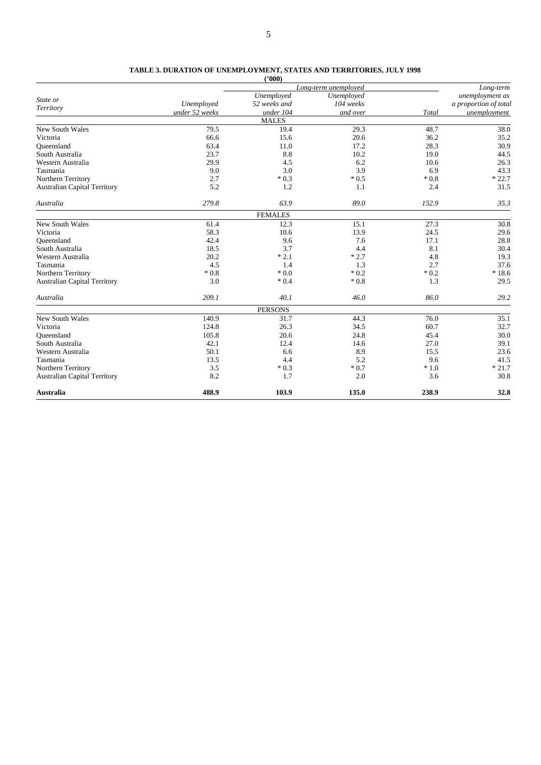#### **TABLE 3. DURATION OF UNEMPLOYMENT, STATES AND TERRITORIES, JULY 1998**

|                                     |                | (2000)         |                      |        |                       |
|-------------------------------------|----------------|----------------|----------------------|--------|-----------------------|
|                                     |                |                | Long-term unemployed |        | Long-term             |
| State or                            |                | Unemployed     | Unemployed           |        | unemployment as       |
| Territory                           | Unemployed     | 52 weeks and   | 104 weeks            |        | a proportion of total |
|                                     | under 52 weeks | under 104      | and over             | Total  | unemployment          |
|                                     |                | <b>MALES</b>   |                      |        |                       |
| New South Wales                     | 79.5           | 19.4           | 29.3                 | 48.7   | 38.0                  |
| Victoria                            | 66.6           | 15.6           | 20.6                 | 36.2   | 35.2                  |
| Oueensland                          | 63.4           | 11.0           | 17.2                 | 28.3   | 30.9                  |
| South Australia                     | 23.7           | 8.8            | 10.2                 | 19.0   | 44.5                  |
| Western Australia                   | 29.9           | 4.5            | 6.2                  | 10.6   | 26.3                  |
| Tasmania                            | 9.0            | 3.0            | 3.9                  | 6.9    | 43.3                  |
| Northern Territory                  | 2.7            | $*0.3$         | $*0.5$               | $*0.8$ | $*22.7$               |
| <b>Australian Capital Territory</b> | 5.2            | 1.2            | 1.1                  | 2.4    | 31.5                  |
| Australia                           | 279.8          | 63.9           | 89.0                 | 152.9  | 35.3                  |
|                                     |                | <b>FEMALES</b> |                      |        |                       |
| New South Wales                     | 61.4           | 12.3           | 15.1                 | 27.3   | 30.8                  |
| Victoria                            | 58.3           | 10.6           | 13.9                 | 24.5   | 29.6                  |
| Queensland                          | 42.4           | 9.6            | 7.6                  | 17.1   | 28.8                  |
| South Australia                     | 18.5           | 3.7            | 4.4                  | 8.1    | 30.4                  |
| Western Australia                   | 20.2           | $*2.1$         | $*2.7$               | 4.8    | 19.3                  |
| Tasmania                            | 4.5            | 1.4            | 1.3                  | 2.7    | 37.6                  |
| Northern Territory                  | $*0.8$         | $*0.0$         | $*0.2$               | $*0.2$ | $*18.6$               |
| <b>Australian Capital Territory</b> | 3.0            | $*0.4$         | $*0.8$               | 1.3    | 29.5                  |
| Australia                           | 209.1          | 40.1           | 46.0                 | 86.0   | 29.2                  |
|                                     |                | <b>PERSONS</b> |                      |        |                       |
| New South Wales                     | 140.9          | 31.7           | 44.3                 | 76.0   | 35.1                  |
| Victoria                            | 124.8          | 26.3           | 34.5                 | 60.7   | 32.7                  |
| Queensland                          | 105.8          | 20.6           | 24.8                 | 45.4   | 30.0                  |
| South Australia                     | 42.1           | 12.4           | 14.6                 | 27.0   | 39.1                  |
| Western Australia                   | 50.1           | 6.6            | 8.9                  | 15.5   | 23.6                  |
| Tasmania                            | 13.5           | 4.4            | 5.2                  | 9.6    | 41.5                  |
| Northern Territory                  | 3.5            | $*0.3$         | $*0.7$               | $*1.0$ | $*21.7$               |
| <b>Australian Capital Territory</b> | 8.2            | 1.7            | 2.0                  | 3.6    | 30.8                  |
| <b>Australia</b>                    | 488.9          | 103.9          | 135.0                | 238.9  | 32.8                  |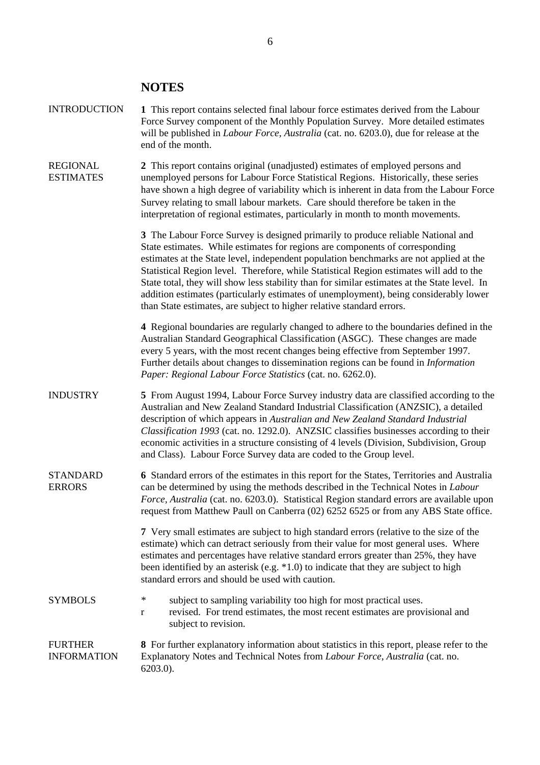## **NOTES**

| <b>INTRODUCTION</b>                  | 1 This report contains selected final labour force estimates derived from the Labour<br>Force Survey component of the Monthly Population Survey. More detailed estimates<br>will be published in <i>Labour Force</i> , <i>Australia</i> (cat. no. 6203.0), due for release at the<br>end of the month.                                                                                                                                                                                                                                                                                                                  |
|--------------------------------------|-------------------------------------------------------------------------------------------------------------------------------------------------------------------------------------------------------------------------------------------------------------------------------------------------------------------------------------------------------------------------------------------------------------------------------------------------------------------------------------------------------------------------------------------------------------------------------------------------------------------------|
| <b>REGIONAL</b><br><b>ESTIMATES</b>  | 2 This report contains original (unadjusted) estimates of employed persons and<br>unemployed persons for Labour Force Statistical Regions. Historically, these series<br>have shown a high degree of variability which is inherent in data from the Labour Force<br>Survey relating to small labour markets. Care should therefore be taken in the<br>interpretation of regional estimates, particularly in month to month movements.                                                                                                                                                                                   |
|                                      | 3 The Labour Force Survey is designed primarily to produce reliable National and<br>State estimates. While estimates for regions are components of corresponding<br>estimates at the State level, independent population benchmarks are not applied at the<br>Statistical Region level. Therefore, while Statistical Region estimates will add to the<br>State total, they will show less stability than for similar estimates at the State level. In<br>addition estimates (particularly estimates of unemployment), being considerably lower<br>than State estimates, are subject to higher relative standard errors. |
|                                      | 4 Regional boundaries are regularly changed to adhere to the boundaries defined in the<br>Australian Standard Geographical Classification (ASGC). These changes are made<br>every 5 years, with the most recent changes being effective from September 1997.<br>Further details about changes to dissemination regions can be found in <i>Information</i><br>Paper: Regional Labour Force Statistics (cat. no. 6262.0).                                                                                                                                                                                                 |
| <b>INDUSTRY</b>                      | 5 From August 1994, Labour Force Survey industry data are classified according to the<br>Australian and New Zealand Standard Industrial Classification (ANZSIC), a detailed<br>description of which appears in Australian and New Zealand Standard Industrial<br>Classification 1993 (cat. no. 1292.0). ANZSIC classifies businesses according to their<br>economic activities in a structure consisting of 4 levels (Division, Subdivision, Group<br>and Class). Labour Force Survey data are coded to the Group level.                                                                                                |
| <b>STANDARD</b><br><b>ERRORS</b>     | 6 Standard errors of the estimates in this report for the States, Territories and Australia<br>can be determined by using the methods described in the Technical Notes in Labour<br>Force, Australia (cat. no. 6203.0). Statistical Region standard errors are available upon<br>request from Matthew Paull on Canberra (02) 6252 6525 or from any ABS State office.                                                                                                                                                                                                                                                    |
|                                      | 7 Very small estimates are subject to high standard errors (relative to the size of the<br>estimate) which can detract seriously from their value for most general uses. Where<br>estimates and percentages have relative standard errors greater than 25%, they have<br>been identified by an asterisk (e.g. *1.0) to indicate that they are subject to high<br>standard errors and should be used with caution.                                                                                                                                                                                                       |
| <b>SYMBOLS</b>                       | $\ast$<br>subject to sampling variability too high for most practical uses.<br>revised. For trend estimates, the most recent estimates are provisional and<br>r<br>subject to revision.                                                                                                                                                                                                                                                                                                                                                                                                                                 |
| <b>FURTHER</b><br><b>INFORMATION</b> | 8 For further explanatory information about statistics in this report, please refer to the<br>Explanatory Notes and Technical Notes from Labour Force, Australia (cat. no.<br>$6203.0$ ).                                                                                                                                                                                                                                                                                                                                                                                                                               |